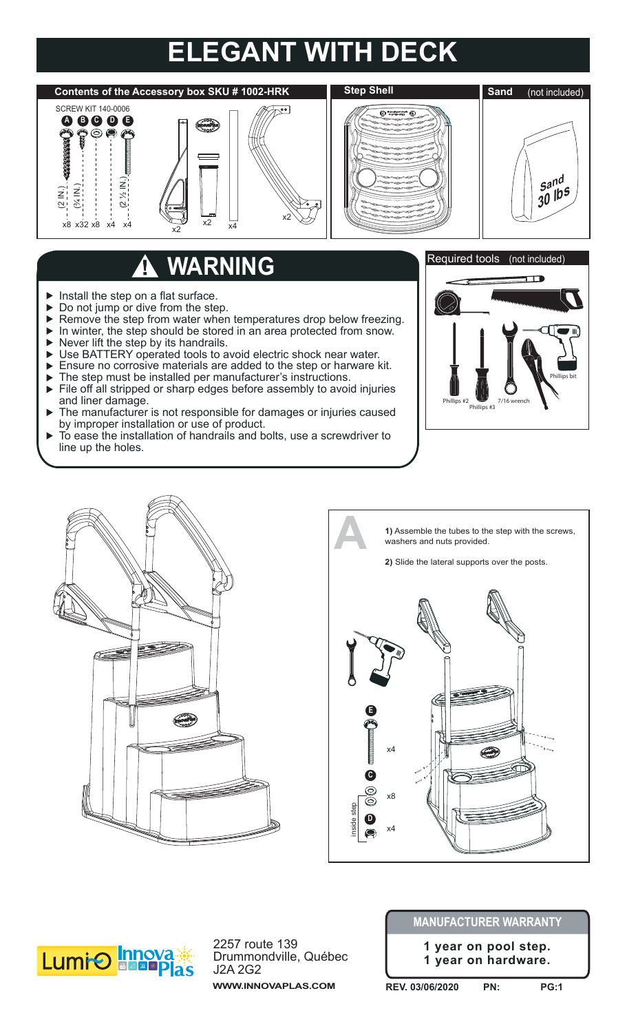## **ELEGANT WITH DECK**



## **WARNING**

- Install the step on a flat surface.  $\blacktriangleright$
- Do not jump or dive from the step.  $\blacktriangleright$
- Remove the step from water when temperatures drop below freezing.  $\blacktriangleright$
- In winter, the step should be stored in an area protected from snow.  $\blacktriangleright$
- Never lift the step by its handrails.  $\blacktriangleright$
- $\blacktriangleright$ Use BATTERY operated tools to avoid electric shock near water.
- $\blacktriangleright$ Ensure no corrosive materials are added to the step or harware kit.
- The step must be installed per manufacturer's instructions.  $\mathbf{r}$
- File off all stripped or sharp edges before assembly to avoid injuries  $\blacktriangleright$ and liner damage.
- The manufacturer is not responsible for damages or injuries caused  $\blacktriangleright$ by improper installation or use of product.
- To ease the installation of handrails and bolts, use a screwdriver to ь line up the holes.









2257 route 139 Drummondville, Québec J2A 2G2 **WWW.INNOVAPLAS.COM**

## **MANUFACTURER WARRANTY**

**1 year on pool step. 1 year on hardware.**

**REV. 03/06/2020 PN: PG:1**